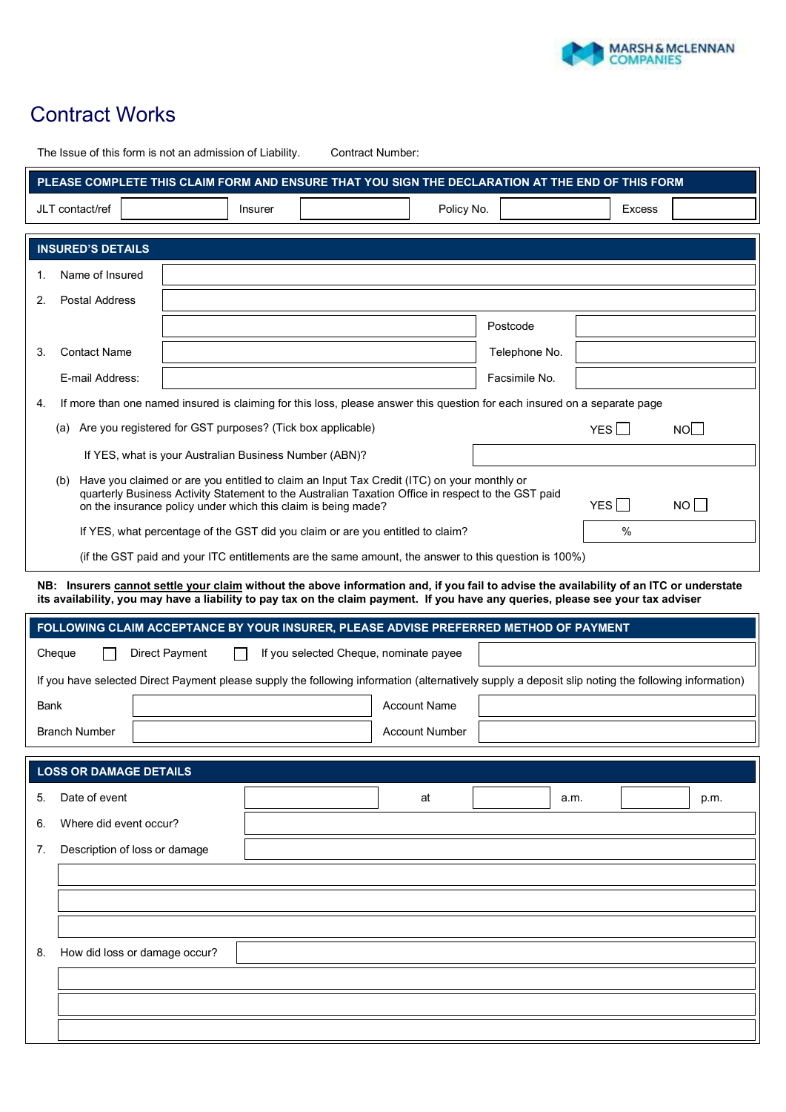

## **Contract Works**

|                                                                                                                                                    | The Issue of this form is not an admission of Liability.                                                                                                                                                                                                                    |                |                                                                                                                                                                     | <b>Contract Number:</b> |               |               |    |      |
|----------------------------------------------------------------------------------------------------------------------------------------------------|-----------------------------------------------------------------------------------------------------------------------------------------------------------------------------------------------------------------------------------------------------------------------------|----------------|---------------------------------------------------------------------------------------------------------------------------------------------------------------------|-------------------------|---------------|---------------|----|------|
| PLEASE COMPLETE THIS CLAIM FORM AND ENSURE THAT YOU SIGN THE DECLARATION AT THE END OF THIS FORM                                                   |                                                                                                                                                                                                                                                                             |                |                                                                                                                                                                     |                         |               |               |    |      |
| JLT contact/ref<br>Insurer                                                                                                                         |                                                                                                                                                                                                                                                                             |                | Policy No.                                                                                                                                                          |                         |               | <b>Excess</b> |    |      |
|                                                                                                                                                    |                                                                                                                                                                                                                                                                             |                |                                                                                                                                                                     |                         |               |               |    |      |
|                                                                                                                                                    | <b>INSURED'S DETAILS</b>                                                                                                                                                                                                                                                    |                |                                                                                                                                                                     |                         |               |               |    |      |
| 1.                                                                                                                                                 | Name of Insured                                                                                                                                                                                                                                                             |                |                                                                                                                                                                     |                         |               |               |    |      |
| <b>Postal Address</b><br>2.                                                                                                                        |                                                                                                                                                                                                                                                                             |                |                                                                                                                                                                     |                         |               |               |    |      |
|                                                                                                                                                    |                                                                                                                                                                                                                                                                             |                |                                                                                                                                                                     |                         | Postcode      |               |    |      |
| 3.                                                                                                                                                 | <b>Contact Name</b>                                                                                                                                                                                                                                                         |                |                                                                                                                                                                     |                         | Telephone No. |               |    |      |
|                                                                                                                                                    | E-mail Address:                                                                                                                                                                                                                                                             |                |                                                                                                                                                                     |                         | Facsimile No. |               |    |      |
| 4.                                                                                                                                                 |                                                                                                                                                                                                                                                                             |                | If more than one named insured is claiming for this loss, please answer this question for each insured on a separate page                                           |                         |               |               |    |      |
|                                                                                                                                                    |                                                                                                                                                                                                                                                                             |                | (a) Are you registered for GST purposes? (Tick box applicable)                                                                                                      |                         |               | YES           | NO |      |
|                                                                                                                                                    |                                                                                                                                                                                                                                                                             |                | If YES, what is your Australian Business Number (ABN)?                                                                                                              |                         |               |               |    |      |
|                                                                                                                                                    | (b)                                                                                                                                                                                                                                                                         |                | Have you claimed or are you entitled to claim an Input Tax Credit (ITC) on your monthly or                                                                          |                         |               |               |    |      |
|                                                                                                                                                    |                                                                                                                                                                                                                                                                             |                | quarterly Business Activity Statement to the Australian Taxation Office in respect to the GST paid<br>on the insurance policy under which this claim is being made? |                         |               | YES           | NO |      |
|                                                                                                                                                    |                                                                                                                                                                                                                                                                             |                | If YES, what percentage of the GST did you claim or are you entitled to claim?                                                                                      |                         |               | $\%$          |    |      |
|                                                                                                                                                    |                                                                                                                                                                                                                                                                             |                | (if the GST paid and your ITC entitlements are the same amount, the answer to this question is 100%)                                                                |                         |               |               |    |      |
|                                                                                                                                                    |                                                                                                                                                                                                                                                                             |                |                                                                                                                                                                     |                         |               |               |    |      |
|                                                                                                                                                    | NB: Insurers cannot settle your claim without the above information and, if you fail to advise the availability of an ITC or understate<br>its availability, you may have a liability to pay tax on the claim payment. If you have any queries, please see your tax adviser |                |                                                                                                                                                                     |                         |               |               |    |      |
|                                                                                                                                                    |                                                                                                                                                                                                                                                                             |                | FOLLOWING CLAIM ACCEPTANCE BY YOUR INSURER, PLEASE ADVISE PREFERRED METHOD OF PAYMENT                                                                               |                         |               |               |    |      |
|                                                                                                                                                    | Cheque                                                                                                                                                                                                                                                                      | Direct Payment | If you selected Cheque, nominate payee                                                                                                                              |                         |               |               |    |      |
| If you have selected Direct Payment please supply the following information (alternatively supply a deposit slip noting the following information) |                                                                                                                                                                                                                                                                             |                |                                                                                                                                                                     |                         |               |               |    |      |
| <b>Account Name</b><br>Bank                                                                                                                        |                                                                                                                                                                                                                                                                             |                |                                                                                                                                                                     |                         |               |               |    |      |
| <b>Branch Number</b>                                                                                                                               |                                                                                                                                                                                                                                                                             |                | <b>Account Number</b>                                                                                                                                               |                         |               |               |    |      |
|                                                                                                                                                    |                                                                                                                                                                                                                                                                             |                |                                                                                                                                                                     |                         |               |               |    |      |
|                                                                                                                                                    | <b>LOSS OR DAMAGE DETAILS</b>                                                                                                                                                                                                                                               |                |                                                                                                                                                                     |                         |               |               |    |      |
| 5.                                                                                                                                                 | Date of event                                                                                                                                                                                                                                                               |                |                                                                                                                                                                     | at                      |               | a.m.          |    | p.m. |
| 6.                                                                                                                                                 | Where did event occur?                                                                                                                                                                                                                                                      |                |                                                                                                                                                                     |                         |               |               |    |      |
| 7.                                                                                                                                                 | Description of loss or damage                                                                                                                                                                                                                                               |                |                                                                                                                                                                     |                         |               |               |    |      |
|                                                                                                                                                    |                                                                                                                                                                                                                                                                             |                |                                                                                                                                                                     |                         |               |               |    |      |
|                                                                                                                                                    |                                                                                                                                                                                                                                                                             |                |                                                                                                                                                                     |                         |               |               |    |      |
|                                                                                                                                                    |                                                                                                                                                                                                                                                                             |                |                                                                                                                                                                     |                         |               |               |    |      |
| 8.                                                                                                                                                 | How did loss or damage occur?                                                                                                                                                                                                                                               |                |                                                                                                                                                                     |                         |               |               |    |      |
|                                                                                                                                                    |                                                                                                                                                                                                                                                                             |                |                                                                                                                                                                     |                         |               |               |    |      |
|                                                                                                                                                    |                                                                                                                                                                                                                                                                             |                |                                                                                                                                                                     |                         |               |               |    |      |
|                                                                                                                                                    |                                                                                                                                                                                                                                                                             |                |                                                                                                                                                                     |                         |               |               |    |      |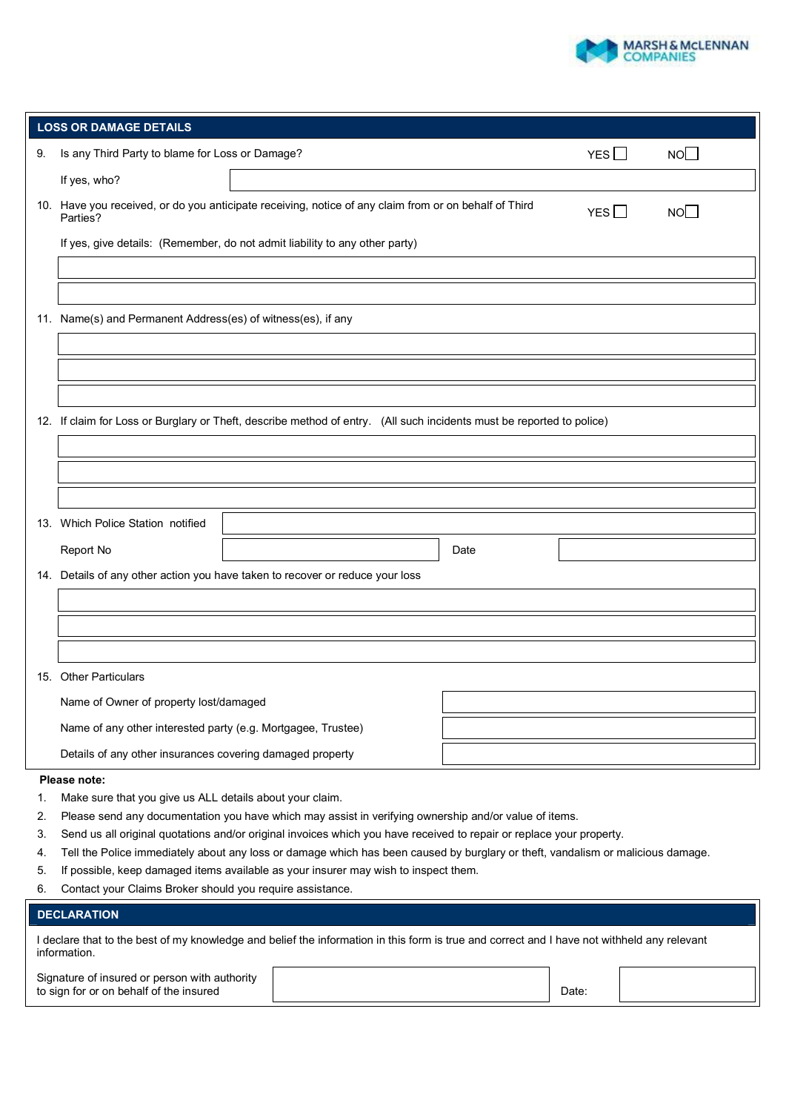

| <b>LOSS OR DAMAGE DETAILS</b> |                                                                                                                                  |  |            |                 |  |  |  |
|-------------------------------|----------------------------------------------------------------------------------------------------------------------------------|--|------------|-----------------|--|--|--|
| 9.                            | Is any Third Party to blame for Loss or Damage?                                                                                  |  | YES $\Box$ | NO <sub>1</sub> |  |  |  |
|                               | If yes, who?                                                                                                                     |  |            |                 |  |  |  |
|                               | 10. Have you received, or do you anticipate receiving, notice of any claim from or on behalf of Third<br>NO<br>YES I<br>Parties? |  |            |                 |  |  |  |
|                               | If yes, give details: (Remember, do not admit liability to any other party)                                                      |  |            |                 |  |  |  |
|                               |                                                                                                                                  |  |            |                 |  |  |  |
|                               |                                                                                                                                  |  |            |                 |  |  |  |
|                               | 11. Name(s) and Permanent Address(es) of witness(es), if any                                                                     |  |            |                 |  |  |  |
|                               |                                                                                                                                  |  |            |                 |  |  |  |
|                               |                                                                                                                                  |  |            |                 |  |  |  |
|                               |                                                                                                                                  |  |            |                 |  |  |  |
|                               | 12. If claim for Loss or Burglary or Theft, describe method of entry. (All such incidents must be reported to police)            |  |            |                 |  |  |  |
|                               |                                                                                                                                  |  |            |                 |  |  |  |
|                               |                                                                                                                                  |  |            |                 |  |  |  |
|                               |                                                                                                                                  |  |            |                 |  |  |  |
|                               | 13. Which Police Station notified                                                                                                |  |            |                 |  |  |  |
|                               | Report No                                                                                                                        |  | Date       |                 |  |  |  |
|                               | 14. Details of any other action you have taken to recover or reduce your loss                                                    |  |            |                 |  |  |  |
|                               |                                                                                                                                  |  |            |                 |  |  |  |
|                               |                                                                                                                                  |  |            |                 |  |  |  |
|                               |                                                                                                                                  |  |            |                 |  |  |  |
|                               | 15. Other Particulars                                                                                                            |  |            |                 |  |  |  |
|                               | Name of Owner of property lost/damaged                                                                                           |  |            |                 |  |  |  |
|                               | Name of any other interested party (e.g. Mortgagee, Trustee)                                                                     |  |            |                 |  |  |  |
|                               | Details of any other insurances covering damaged property                                                                        |  |            |                 |  |  |  |
|                               | Please note:                                                                                                                     |  |            |                 |  |  |  |

- 1. Make sure that you give us ALL details about your claim.
- 2. Please send any documentation you have which may assist in verifying ownership and/or value of items.
- 3. Send us all original quotations and/or original invoices which you have received to repair or replace your property.
- 4. Tell the Police immediately about any loss or damage which has been caused by burglary or theft, vandalism or malicious damage.
- 5. If possible, keep damaged items available as your insurer may wish to inspect them.
- 6. Contact your Claims Broker should you require assistance.

## **DECLARATION**

|              | I declare that to the best of my knowledge and belief the information in this form is true and correct and I have not withheld any relevant |  |  |
|--------------|---------------------------------------------------------------------------------------------------------------------------------------------|--|--|
| information. |                                                                                                                                             |  |  |

Signature of insured or person with authority to sign for or on behalf of the insured Date:  $\Box$  Date: